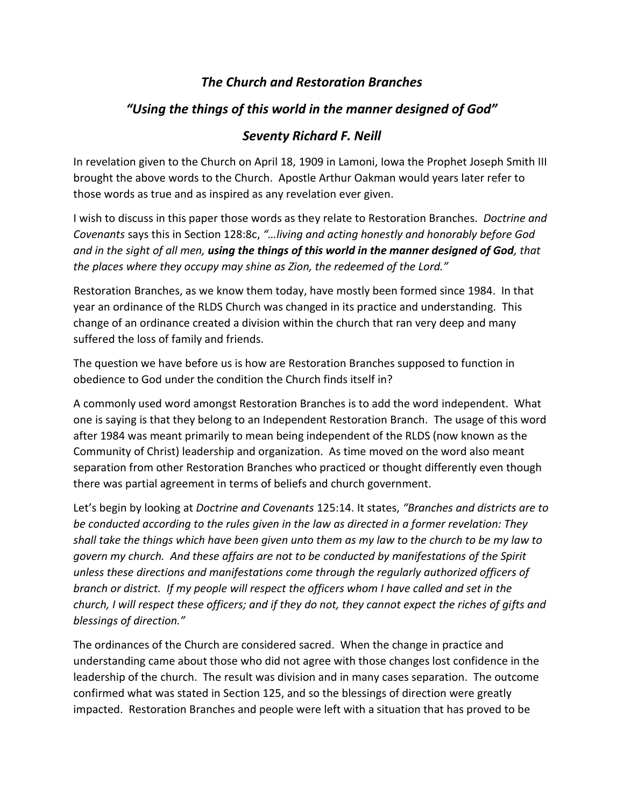## *The Church and Restoration Branches*

# *"Using the things of this world in the manner designed of God"*

### *Seventy Richard F. Neill*

In revelation given to the Church on April 18, 1909 in Lamoni, Iowa the Prophet Joseph Smith III brought the above words to the Church. Apostle Arthur Oakman would years later refer to those words as true and as inspired as any revelation ever given.

I wish to discuss in this paper those words as they relate to Restoration Branches. *Doctrine and Covenants* says this in Section 128:8c, *"…living and acting honestly and honorably before God and in the sight of all men, using the things of this world in the manner designed of God, that the places where they occupy may shine as Zion, the redeemed of the Lord."*

Restoration Branches, as we know them today, have mostly been formed since 1984. In that year an ordinance of the RLDS Church was changed in its practice and understanding. This change of an ordinance created a division within the church that ran very deep and many suffered the loss of family and friends.

The question we have before us is how are Restoration Branches supposed to function in obedience to God under the condition the Church finds itself in?

A commonly used word amongst Restoration Branches is to add the word independent. What one is saying is that they belong to an Independent Restoration Branch. The usage of this word after 1984 was meant primarily to mean being independent of the RLDS (now known as the Community of Christ) leadership and organization. As time moved on the word also meant separation from other Restoration Branches who practiced or thought differently even though there was partial agreement in terms of beliefs and church government.

Let's begin by looking at *Doctrine and Covenants* 125:14. It states, *"Branches and districts are to be conducted according to the rules given in the law as directed in a former revelation: They shall take the things which have been given unto them as my law to the church to be my law to govern my church. And these affairs are not to be conducted by manifestations of the Spirit unless these directions and manifestations come through the regularly authorized officers of branch or district. If my people will respect the officers whom I have called and set in the church, I will respect these officers; and if they do not, they cannot expect the riches of gifts and blessings of direction."*

The ordinances of the Church are considered sacred. When the change in practice and understanding came about those who did not agree with those changes lost confidence in the leadership of the church. The result was division and in many cases separation. The outcome confirmed what was stated in Section 125, and so the blessings of direction were greatly impacted. Restoration Branches and people were left with a situation that has proved to be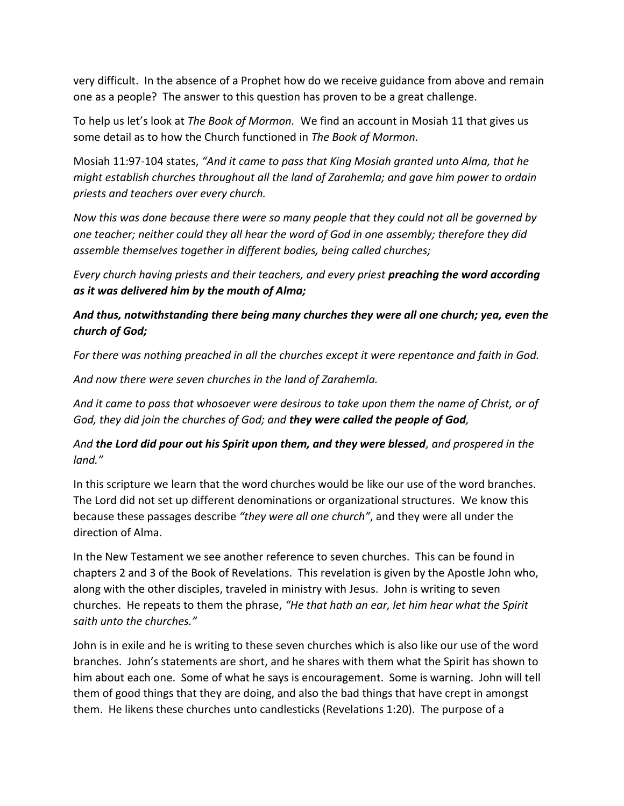very difficult. In the absence of a Prophet how do we receive guidance from above and remain one as a people? The answer to this question has proven to be a great challenge.

To help us let's look at *The Book of Mormon.* We find an account in Mosiah 11 that gives us some detail as to how the Church functioned in *The Book of Mormon.*

Mosiah 11:97-104 states, *"And it came to pass that King Mosiah granted unto Alma, that he might establish churches throughout all the land of Zarahemla; and gave him power to ordain priests and teachers over every church.* 

*Now this was done because there were so many people that they could not all be governed by one teacher; neither could they all hear the word of God in one assembly; therefore they did assemble themselves together in different bodies, being called churches;* 

*Every church having priests and their teachers, and every priest preaching the word according as it was delivered him by the mouth of Alma;* 

#### *And thus, notwithstanding there being many churches they were all one church; yea, even the church of God;*

*For there was nothing preached in all the churches except it were repentance and faith in God.*

*And now there were seven churches in the land of Zarahemla.*

*And it came to pass that whosoever were desirous to take upon them the name of Christ, or of God, they did join the churches of God; and they were called the people of God,*

### *And the Lord did pour out his Spirit upon them, and they were blessed, and prospered in the land."*

In this scripture we learn that the word churches would be like our use of the word branches. The Lord did not set up different denominations or organizational structures. We know this because these passages describe *"they were all one church"*, and they were all under the direction of Alma.

In the New Testament we see another reference to seven churches. This can be found in chapters 2 and 3 of the Book of Revelations. This revelation is given by the Apostle John who, along with the other disciples, traveled in ministry with Jesus. John is writing to seven churches. He repeats to them the phrase, *"He that hath an ear, let him hear what the Spirit saith unto the churches."*

John is in exile and he is writing to these seven churches which is also like our use of the word branches. John's statements are short, and he shares with them what the Spirit has shown to him about each one. Some of what he says is encouragement. Some is warning. John will tell them of good things that they are doing, and also the bad things that have crept in amongst them. He likens these churches unto candlesticks (Revelations 1:20). The purpose of a